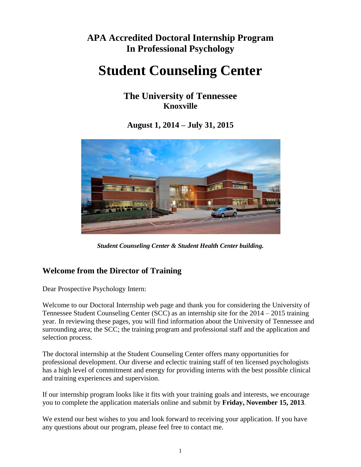## **APA Accredited Doctoral Internship Program In Professional Psychology**

# **Student Counseling Center**

**The University of Tennessee Knoxville**

**August 1, 2014 – July 31, 2015**



*Student Counseling Center & Student Health Center building.*

## **Welcome from the Director of Training**

Dear Prospective Psychology Intern:

Welcome to our Doctoral Internship web page and thank you for considering the University of Tennessee Student Counseling Center (SCC) as an internship site for the 2014 – 2015 training year. In reviewing these pages, you will find information about the University of Tennessee and surrounding area; the SCC; the training program and professional staff and the application and selection process.

The doctoral internship at the Student Counseling Center offers many opportunities for professional development. Our diverse and eclectic training staff of ten licensed psychologists has a high level of commitment and energy for providing interns with the best possible clinical and training experiences and supervision.

If our internship program looks like it fits with your training goals and interests, we encourage you to complete the application materials online and submit by **Friday, November 15, 2013**.

We extend our best wishes to you and look forward to receiving your application. If you have any questions about our program, please feel free to contact me.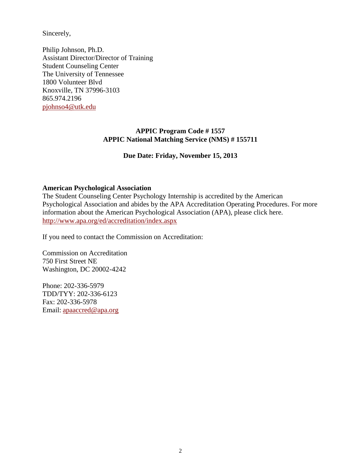Sincerely,

Philip Johnson, Ph.D. Assistant Director/Director of Training Student Counseling Center The University of Tennessee 1800 Volunteer Blvd Knoxville, TN 37996-3103 865.974.2196 [pjohnso4@utk.edu](mailto:pjohnso4@utk.edu)

#### **APPIC Program Code # 1557 APPIC National Matching Service (NMS) # 155711**

#### **Due Date: Friday, November 15, 2013**

#### **American Psychological Association**

The Student Counseling Center Psychology Internship is accredited by the American Psychological Association and abides by the APA Accreditation Operating Procedures. For more information about the American Psychological Association (APA), please click here. <http://www.apa.org/ed/accreditation/index.aspx>

If you need to contact the Commission on Accreditation:

Commission on Accreditation 750 First Street NE Washington, DC 20002-4242

Phone: 202-336-5979 TDD/TYY: 202-336-6123 Fax: 202-336-5978 Email: [apaaccred@apa.org](mailto:apaaccred@apa.org)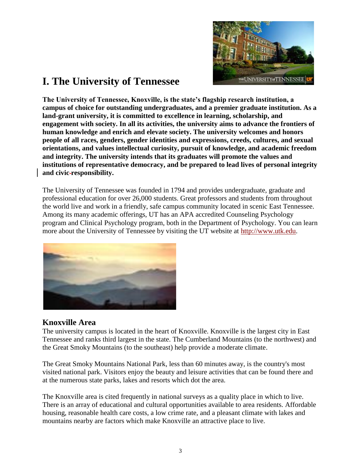

## **I. The University of Tennessee**

**The University of Tennessee, Knoxville, is the state's flagship research institution, a campus of choice for outstanding undergraduates, and a premier graduate institution. As a land-grant university, it is committed to excellence in learning, scholarship, and engagement with society. In all its activities, the university aims to advance the frontiers of human knowledge and enrich and elevate society. The university welcomes and honors people of all races, genders, gender identities and expressions, creeds, cultures, and sexual orientations, and values intellectual curiosity, pursuit of knowledge, and academic freedom and integrity. The university intends that its graduates will promote the values and institutions of representative democracy, and be prepared to lead lives of personal integrity and civic responsibility.**

The University of Tennessee was founded in 1794 and provides undergraduate, graduate and professional education for over 26,000 students. Great professors and students from throughout the world live and work in a friendly, safe campus community located in scenic East Tennessee. Among its many academic offerings, UT has an APA accredited Counseling Psychology program and Clinical Psychology program, both in the Department of Psychology. You can learn more about the University of Tennessee by visiting the UT website at [http://www.utk.edu.](http://www.utk.edu/)



#### **Knoxville Area**

The university campus is located in the heart of Knoxville. Knoxville is the largest city in East Tennessee and ranks third largest in the state. The Cumberland Mountains (to the northwest) and the Great Smoky Mountains (to the southeast) help provide a moderate climate.

The Great Smoky Mountains National Park, less than 60 minutes away, is the country's most visited national park. Visitors enjoy the beauty and leisure activities that can be found there and at the numerous state parks, lakes and resorts which dot the area.

The Knoxville area is cited frequently in national surveys as a quality place in which to live. There is an array of educational and cultural opportunities available to area residents. Affordable housing, reasonable health care costs, a low crime rate, and a pleasant climate with lakes and mountains nearby are factors which make Knoxville an attractive place to live.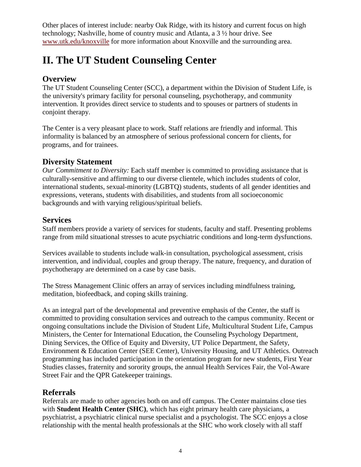Other places of interest include: nearby Oak Ridge, with its history and current focus on high technology; Nashville, home of country music and Atlanta, a 3 ½ hour drive. See [www.utk.edu/knoxville](http://www.utk.edu/knoxville) for more information about Knoxville and the surrounding area.

## **II. The UT Student Counseling Center**

## **Overview**

The UT Student Counseling Center (SCC), a department within the Division of Student Life, is the university's primary facility for personal counseling, psychotherapy, and community intervention. It provides direct service to students and to spouses or partners of students in conjoint therapy.

The Center is a very pleasant place to work. Staff relations are friendly and informal. This informality is balanced by an atmosphere of serious professional concern for clients, for programs, and for trainees.

## **Diversity Statement**

*Our Commitment to Diversity:* Each staff member is committed to providing assistance that is culturally-sensitive and affirming to our diverse clientele, which includes students of color, international students, sexual-minority (LGBTQ) students, students of all gender identities and expressions, veterans, students with disabilities, and students from all socioeconomic backgrounds and with varying religious/spiritual beliefs.

## **Services**

Staff members provide a variety of services for students, faculty and staff. Presenting problems range from mild situational stresses to acute psychiatric conditions and long-term dysfunctions.

Services available to students include walk-in consultation, psychological assessment, crisis intervention, and individual, couples and group therapy. The nature, frequency, and duration of psychotherapy are determined on a case by case basis.

The Stress Management Clinic offers an array of services including mindfulness training, meditation, biofeedback, and coping skills training.

As an integral part of the developmental and preventive emphasis of the Center, the staff is committed to providing consultation services and outreach to the campus community. Recent or ongoing consultations include the Division of Student Life, Multicultural Student Life, Campus Ministers, the Center for International Education, the Counseling Psychology Department, Dining Services, the Office of Equity and Diversity, UT Police Department, the Safety, Environment & Education Center (SEE Center), University Housing, and UT Athletics. Outreach programming has included participation in the orientation program for new students, First Year Studies classes, fraternity and sorority groups, the annual Health Services Fair, the Vol-Aware Street Fair and the QPR Gatekeeper trainings.

## **Referrals**

Referrals are made to other agencies both on and off campus. The Center maintains close ties with **Student Health Center (SHC)**, which has eight primary health care physicians, a psychiatrist, a psychiatric clinical nurse specialist and a psychologist. The SCC enjoys a close relationship with the mental health professionals at the SHC who work closely with all staff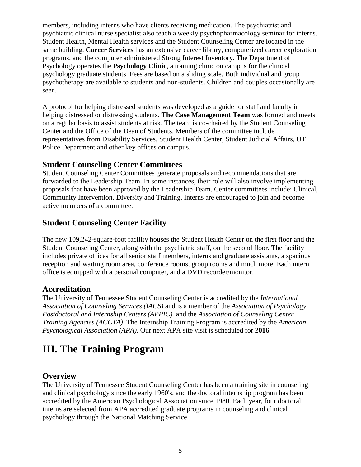members, including interns who have clients receiving medication. The psychiatrist and psychiatric clinical nurse specialist also teach a weekly psychopharmacology seminar for interns. Student Health, Mental Health services and the Student Counseling Center are located in the same building. **Career Services** has an extensive career library, computerized career exploration programs, and the computer administered Strong Interest Inventory. The Department of Psychology operates the **Psychology Clinic**, a training clinic on campus for the clinical psychology graduate students. Fees are based on a sliding scale. Both individual and group psychotherapy are available to students and non-students. Children and couples occasionally are seen.

A protocol for helping distressed students was developed as a guide for staff and faculty in helping distressed or distressing students. **The Case Management Team** was formed and meets on a regular basis to assist students at risk. The team is co-chaired by the Student Counseling Center and the Office of the Dean of Students. Members of the committee include representatives from Disability Services, Student Health Center, Student Judicial Affairs, UT Police Department and other key offices on campus.

## **Student Counseling Center Committees**

Student Counseling Center Committees generate proposals and recommendations that are forwarded to the Leadership Team. In some instances, their role will also involve implementing proposals that have been approved by the Leadership Team. Center committees include: Clinical, Community Intervention, Diversity and Training. Interns are encouraged to join and become active members of a committee.

## **Student Counseling Center Facility**

The new 109,242-square-foot facility houses the Student Health Center on the first floor and the Student Counseling Center, along with the psychiatric staff, on the second floor. The facility includes private offices for all senior staff members, interns and graduate assistants, a spacious reception and waiting room area, conference rooms, group rooms and much more. Each intern office is equipped with a personal computer, and a DVD recorder/monitor.

## **Accreditation**

The University of Tennessee Student Counseling Center is accredited by the *International Association of Counseling Services (IACS)* and is a member of the *Association of Psychology Postdoctoral and Internship Centers (APPIC).* and the *Association of Counseling Center Training Agencies (ACCTA)*. The Internship Training Program is accredited by the *American Psychological Association (APA).* Our next APA site visit is scheduled for **2016**.

## **III. The Training Program**

## **Overview**

The University of Tennessee Student Counseling Center has been a training site in counseling and clinical psychology since the early 1960's, and the doctoral internship program has been accredited by the American Psychological Association since 1980. Each year, four doctoral interns are selected from APA accredited graduate programs in counseling and clinical psychology through the National Matching Service.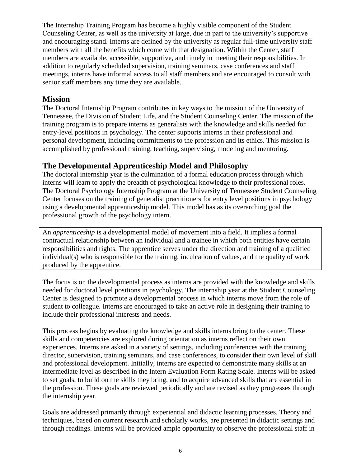The Internship Training Program has become a highly visible component of the Student Counseling Center, as well as the university at large, due in part to the university's supportive and encouraging stand. Interns are defined by the university as regular full-time university staff members with all the benefits which come with that designation. Within the Center, staff members are available, accessible, supportive, and timely in meeting their responsibilities. In addition to regularly scheduled supervision, training seminars, case conferences and staff meetings, interns have informal access to all staff members and are encouraged to consult with senior staff members any time they are available.

#### **Mission**

The Doctoral Internship Program contributes in key ways to the mission of the University of Tennessee, the Division of Student Life, and the Student Counseling Center. The mission of the training program is to prepare interns as generalists with the knowledge and skills needed for entry-level positions in psychology. The center supports interns in their professional and personal development, including commitments to the profession and its ethics. This mission is accomplished by professional training, teaching, supervising, modeling and mentoring.

### **The Developmental Apprenticeship Model and Philosophy**

The doctoral internship year is the culmination of a formal education process through which interns will learn to apply the breadth of psychological knowledge to their professional roles. The Doctoral Psychology Internship Program at the University of Tennessee Student Counseling Center focuses on the training of generalist practitioners for entry level positions in psychology using a developmental apprenticeship model. This model has as its overarching goal the professional growth of the psychology intern.

An *apprenticeship* is a developmental model of movement into a field. It implies a formal contractual relationship between an individual and a trainee in which both entities have certain responsibilities and rights. The apprentice serves under the direction and training of a qualified individual(s) who is responsible for the training, inculcation of values, and the quality of work produced by the apprentice.

The focus is on the developmental process as interns are provided with the knowledge and skills needed for doctoral level positions in psychology. The internship year at the Student Counseling Center is designed to promote a developmental process in which interns move from the role of student to colleague. Interns are encouraged to take an active role in designing their training to include their professional interests and needs.

This process begins by evaluating the knowledge and skills interns bring to the center. These skills and competencies are explored during orientation as interns reflect on their own experiences. Interns are asked in a variety of settings, including conferences with the training director, supervision, training seminars, and case conferences, to consider their own level of skill and professional development. Initially, interns are expected to demonstrate many skills at an intermediate level as described in the Intern Evaluation Form Rating Scale. Interns will be asked to set goals, to build on the skills they bring, and to acquire advanced skills that are essential in the profession. These goals are reviewed periodically and are revised as they progresses through the internship year.

Goals are addressed primarily through experiential and didactic learning processes. Theory and techniques, based on current research and scholarly works, are presented in didactic settings and through readings. Interns will be provided ample opportunity to observe the professional staff in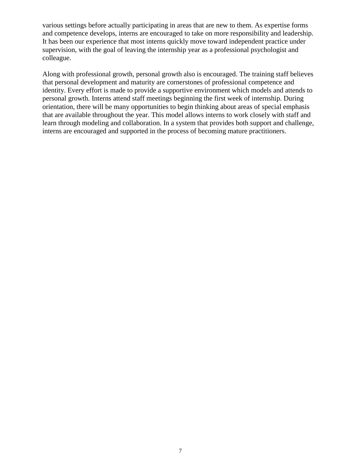various settings before actually participating in areas that are new to them. As expertise forms and competence develops, interns are encouraged to take on more responsibility and leadership. It has been our experience that most interns quickly move toward independent practice under supervision, with the goal of leaving the internship year as a professional psychologist and colleague.

Along with professional growth, personal growth also is encouraged. The training staff believes that personal development and maturity are cornerstones of professional competence and identity. Every effort is made to provide a supportive environment which models and attends to personal growth. Interns attend staff meetings beginning the first week of internship. During orientation, there will be many opportunities to begin thinking about areas of special emphasis that are available throughout the year. This model allows interns to work closely with staff and learn through modeling and collaboration. In a system that provides both support and challenge, interns are encouraged and supported in the process of becoming mature practitioners.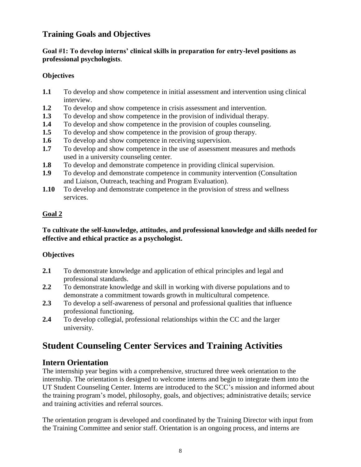## **Training Goals and Objectives**

#### **Goal #1: To develop interns' clinical skills in preparation for entry-level positions as professional psychologists**.

#### **Objectives**

- **1.1** To develop and show competence in initial assessment and intervention using clinical interview.
- **1.2** To develop and show competence in crisis assessment and intervention.
- **1.3** To develop and show competence in the provision of individual therapy.
- **1.4** To develop and show competence in the provision of couples counseling.
- **1.5** To develop and show competence in the provision of group therapy.
- **1.6** To develop and show competence in receiving supervision.
- **1.7** To develop and show competence in the use of assessment measures and methods used in a university counseling center.
- **1.8** To develop and demonstrate competence in providing clinical supervision.
- **1.9** To develop and demonstrate competence in community intervention (Consultation and Liaison, Outreach, teaching and Program Evaluation).
- **1.10** To develop and demonstrate competence in the provision of stress and wellness services.

#### **Goal 2**

#### **To cultivate the self-knowledge, attitudes, and professional knowledge and skills needed for effective and ethical practice as a psychologist.**

#### **Objectives**

- **2.1** To demonstrate knowledge and application of ethical principles and legal and professional standards.
- **2.2** To demonstrate knowledge and skill in working with diverse populations and to demonstrate a commitment towards growth in multicultural competence.
- **2.3** To develop a self-awareness of personal and professional qualities that influence professional functioning.
- **2.4** To develop collegial, professional relationships within the CC and the larger university.

## **Student Counseling Center Services and Training Activities**

## **Intern Orientation**

The internship year begins with a comprehensive, structured three week orientation to the internship. The orientation is designed to welcome interns and begin to integrate them into the UT Student Counseling Center. Interns are introduced to the SCC's mission and informed about the training program's model, philosophy, goals, and objectives; administrative details; service and training activities and referral sources.

The orientation program is developed and coordinated by the Training Director with input from the Training Committee and senior staff. Orientation is an ongoing process, and interns are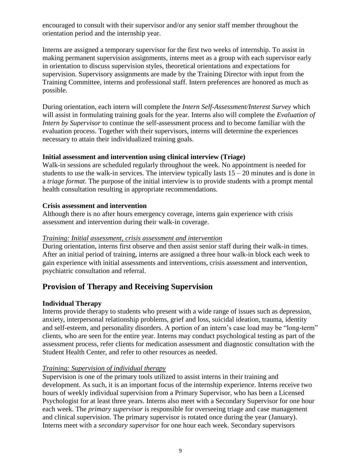encouraged to consult with their supervisor and/or any senior staff member throughout the orientation period and the internship year.

Interns are assigned a temporary supervisor for the first two weeks of internship. To assist in making permanent supervision assignments, interns meet as a group with each supervisor early in orientation to discuss supervision styles, theoretical orientations and expectations for supervision. Supervisory assignments are made by the Training Director with input from the Training Committee, interns and professional staff. Intern preferences are honored as much as possible.

During orientation, each intern will complete the *Intern Self-Assessment/Interest Survey* which will assist in formulating training goals for the year. Interns also will complete the *Evaluation of Intern by Supervisor* to continue the self-assessment process and to become familiar with the evaluation process. Together with their supervisors, interns will determine the experiences necessary to attain their individualized training goals.

#### **Initial assessment and intervention using clinical interview (Triage)**

Walk-in sessions are scheduled regularly throughout the week. No appointment is needed for students to use the walk-in services. The interview typically lasts  $15 - 20$  minutes and is done in a *triage format*. The purpose of the initial interview is to provide students with a prompt mental health consultation resulting in appropriate recommendations.

#### **Crisis assessment and intervention**

Although there is no after hours emergency coverage, interns gain experience with crisis assessment and intervention during their walk-in coverage.

#### *Training: Initial assessment, crisis assessment and intervention*

During orientation, interns first observe and then assist senior staff during their walk-in times. After an initial period of training, interns are assigned a three hour walk-in block each week to gain experience with initial assessments and interventions, crisis assessment and intervention, psychiatric consultation and referral.

## **Provision of Therapy and Receiving Supervision**

#### **Individual Therapy**

Interns provide therapy to students who present with a wide range of issues such as depression, anxiety, interpersonal relationship problems, grief and loss, suicidal ideation, trauma, identity and self-esteem, and personality disorders. A portion of an intern's case load may be "long-term" clients, who are seen for the entire year. Interns may conduct psychological testing as part of the assessment process, refer clients for medication assessment and diagnostic consultation with the Student Health Center, and refer to other resources as needed.

#### *Training: Supervision of individual therapy*

Supervision is one of the primary tools utilized to assist interns in their training and development. As such, it is an important focus of the internship experience. Interns receive two hours of weekly individual supervision from a Primary Supervisor, who has been a Licensed Psychologist for at least three years. Interns also meet with a Secondary Supervisor for one hour each week. The *primary supervisor* is responsible for overseeing triage and case management and clinical supervision. The primary supervisor is rotated once during the year (January). Interns meet with a *secondary supervisor* for one hour each week. Secondary supervisors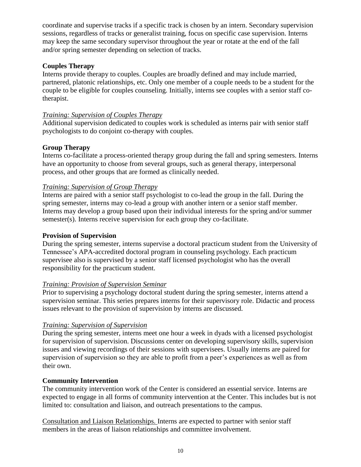coordinate and supervise tracks if a specific track is chosen by an intern. Secondary supervision sessions, regardless of tracks or generalist training, focus on specific case supervision. Interns may keep the same secondary supervisor throughout the year or rotate at the end of the fall and/or spring semester depending on selection of tracks.

#### **Couples Therapy**

Interns provide therapy to couples. Couples are broadly defined and may include married, partnered, platonic relationships, etc. Only one member of a couple needs to be a student for the couple to be eligible for couples counseling. Initially, interns see couples with a senior staff cotherapist.

#### *Training: Supervision of Couples Therapy*

Additional supervision dedicated to couples work is scheduled as interns pair with senior staff psychologists to do conjoint co-therapy with couples.

#### **Group Therapy**

Interns co-facilitate a process-oriented therapy group during the fall and spring semesters. Interns have an opportunity to choose from several groups, such as general therapy, interpersonal process, and other groups that are formed as clinically needed.

#### *Training: Supervision of Group Therapy*

Interns are paired with a senior staff psychologist to co-lead the group in the fall. During the spring semester, interns may co-lead a group with another intern or a senior staff member. Interns may develop a group based upon their individual interests for the spring and/or summer semester(s). Interns receive supervision for each group they co-facilitate.

#### **Provision of Supervision**

During the spring semester, interns supervise a doctoral practicum student from the University of Tennessee's APA-accredited doctoral program in counseling psychology. Each practicum supervisee also is supervised by a senior staff licensed psychologist who has the overall responsibility for the practicum student.

#### *Training: Provision of Supervision Seminar*

Prior to supervising a psychology doctoral student during the spring semester, interns attend a supervision seminar. This series prepares interns for their supervisory role. Didactic and process issues relevant to the provision of supervision by interns are discussed.

#### *Training: Supervision of Supervision*

During the spring semester, interns meet one hour a week in dyads with a licensed psychologist for supervision of supervision. Discussions center on developing supervisory skills, supervision issues and viewing recordings of their sessions with supervisees. Usually interns are paired for supervision of supervision so they are able to profit from a peer's experiences as well as from their own.

#### **Community Intervention**

The community intervention work of the Center is considered an essential service. Interns are expected to engage in all forms of community intervention at the Center. This includes but is not limited to: consultation and liaison, and outreach presentations to the campus.

Consultation and Liaison Relationships. Interns are expected to partner with senior staff members in the areas of liaison relationships and committee involvement.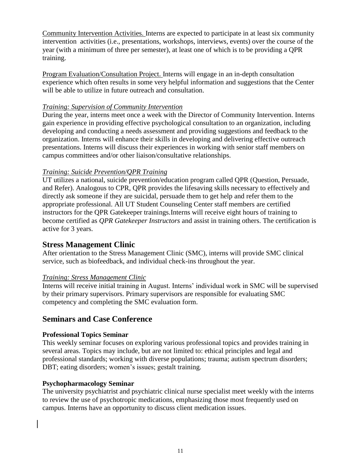Community Intervention Activities. Interns are expected to participate in at least six community intervention activities (i.e., presentations, workshops, interviews, events) over the course of the year (with a minimum of three per semester), at least one of which is to be providing a QPR training.

Program Evaluation/Consultation Project. Interns will engage in an in-depth consultation experience which often results in some very helpful information and suggestions that the Center will be able to utilize in future outreach and consultation.

#### *Training: Supervision of Community Intervention*

During the year, interns meet once a week with the Director of Community Intervention. Interns gain experience in providing effective psychological consultation to an organization, including developing and conducting a needs assessment and providing suggestions and feedback to the organization. Interns will enhance their skills in developing and delivering effective outreach presentations. Interns will discuss their experiences in working with senior staff members on campus committees and/or other liaison/consultative relationships.

#### *Training: Suicide Prevention/QPR Training*

UT utilizes a national, suicide prevention/education program called QPR (Question, Persuade, and Refer). Analogous to CPR, QPR provides the lifesaving skills necessary to effectively and directly ask someone if they are suicidal, persuade them to get help and refer them to the appropriate professional. All UT Student Counseling Center staff members are certified instructors for the QPR Gatekeeper trainings.Interns will receive eight hours of training to become certified as *QPR Gatekeeper Instructors* and assist in training others. The certification is active for 3 years.

#### **Stress Management Clinic**

After orientation to the Stress Management Clinic (SMC), interns will provide SMC clinical service, such as biofeedback, and individual check-ins throughout the year.

#### *Training: Stress Management Clinic*

Interns will receive initial training in August. Interns' individual work in SMC will be supervised by their primary supervisors. Primary supervisors are responsible for evaluating SMC competency and completing the SMC evaluation form.

#### **Seminars and Case Conference**

#### **Professional Topics Seminar**

This weekly seminar focuses on exploring various professional topics and provides training in several areas. Topics may include, but are not limited to: ethical principles and legal and professional standards; working with diverse populations; trauma; autism spectrum disorders; DBT; eating disorders; women's issues; gestalt training.

#### **Psychopharmacology Seminar**

The university psychiatrist and psychiatric clinical nurse specialist meet weekly with the interns to review the use of psychotropic medications, emphasizing those most frequently used on campus. Interns have an opportunity to discuss client medication issues.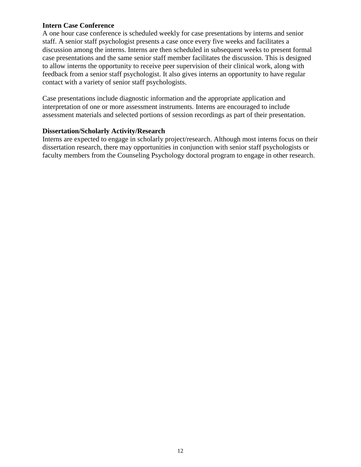#### **Intern Case Conference**

A one hour case conference is scheduled weekly for case presentations by interns and senior staff. A senior staff psychologist presents a case once every five weeks and facilitates a discussion among the interns. Interns are then scheduled in subsequent weeks to present formal case presentations and the same senior staff member facilitates the discussion. This is designed to allow interns the opportunity to receive peer supervision of their clinical work, along with feedback from a senior staff psychologist. It also gives interns an opportunity to have regular contact with a variety of senior staff psychologists.

Case presentations include diagnostic information and the appropriate application and interpretation of one or more assessment instruments. Interns are encouraged to include assessment materials and selected portions of session recordings as part of their presentation.

#### **Dissertation/Scholarly Activity/Research**

Interns are expected to engage in scholarly project/research. Although most interns focus on their dissertation research, there may opportunities in conjunction with senior staff psychologists or faculty members from the Counseling Psychology doctoral program to engage in other research.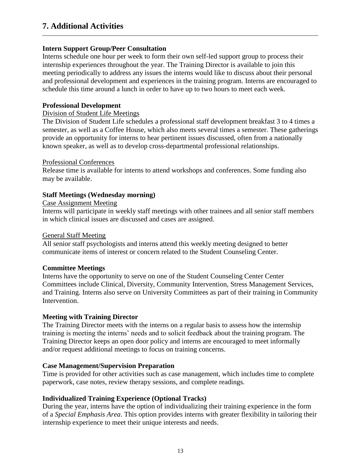#### **Intern Support Group/Peer Consultation**

Interns schedule one hour per week to form their own self-led support group to process their internship experiences throughout the year. The Training Director is available to join this meeting periodically to address any issues the interns would like to discuss about their personal and professional development and experiences in the training program. Interns are encouraged to schedule this time around a lunch in order to have up to two hours to meet each week.

#### **Professional Development**

#### Division of Student Life Meetings

The Division of Student Life schedules a professional staff development breakfast 3 to 4 times a semester, as well as a Coffee House, which also meets several times a semester. These gatherings provide an opportunity for interns to hear pertinent issues discussed, often from a nationally known speaker, as well as to develop cross-departmental professional relationships.

#### Professional Conferences

Release time is available for interns to attend workshops and conferences. Some funding also may be available.

#### **Staff Meetings (Wednesday morning)**

#### Case Assignment Meeting

Interns will participate in weekly staff meetings with other trainees and all senior staff members in which clinical issues are discussed and cases are assigned.

#### General Staff Meeting

All senior staff psychologists and interns attend this weekly meeting designed to better communicate items of interest or concern related to the Student Counseling Center.

#### **Committee Meetings**

Interns have the opportunity to serve on one of the Student Counseling Center Center Committees include Clinical, Diversity, Community Intervention, Stress Management Services, and Training. Interns also serve on University Committees as part of their training in Community Intervention.

#### **Meeting with Training Director**

The Training Director meets with the interns on a regular basis to assess how the internship training is meeting the interns' needs and to solicit feedback about the training program. The Training Director keeps an open door policy and interns are encouraged to meet informally and/or request additional meetings to focus on training concerns.

#### **Case Management/Supervision Preparation**

Time is provided for other activities such as case management, which includes time to complete paperwork, case notes, review therapy sessions, and complete readings.

#### **Individualized Training Experience (Optional Tracks)**

During the year, interns have the option of individualizing their training experience in the form of a *Special Emphasis Area*. This option provides interns with greater flexibility in tailoring their internship experience to meet their unique interests and needs.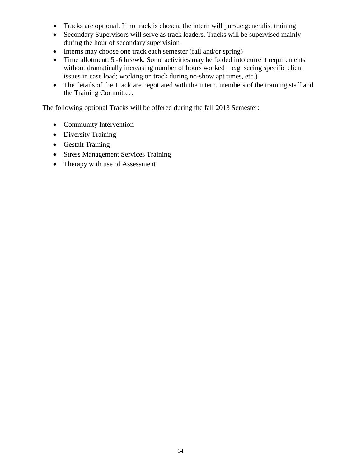- Tracks are optional. If no track is chosen, the intern will pursue generalist training
- Secondary Supervisors will serve as track leaders. Tracks will be supervised mainly during the hour of secondary supervision
- Interns may choose one track each semester (fall and/or spring)
- Time allotment: 5 -6 hrs/wk. Some activities may be folded into current requirements without dramatically increasing number of hours worked – e.g. seeing specific client issues in case load; working on track during no-show apt times, etc.)
- The details of the Track are negotiated with the intern, members of the training staff and the Training Committee.

The following optional Tracks will be offered during the fall 2013 Semester:

- Community Intervention
- Diversity Training
- Gestalt Training
- Stress Management Services Training
- Therapy with use of Assessment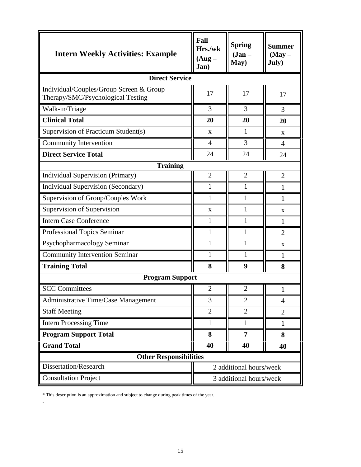| <b>Intern Weekly Activities: Example</b>                                     | Fall<br>Hrs./wk<br>$(Aug -$<br>Jan) | <b>Spring</b><br>$(Jan -$<br>May) | <b>Summer</b><br>$(May -$<br>July) |
|------------------------------------------------------------------------------|-------------------------------------|-----------------------------------|------------------------------------|
| <b>Direct Service</b>                                                        |                                     |                                   |                                    |
| Individual/Couples/Group Screen & Group<br>Therapy/SMC/Psychological Testing | 17                                  | 17                                | 17                                 |
| Walk-in/Triage                                                               | 3                                   | 3                                 | 3                                  |
| <b>Clinical Total</b>                                                        | 20                                  | 20                                | 20                                 |
| Supervision of Practicum Student(s)                                          | X                                   | $\mathbf{1}$                      | X                                  |
| Community Intervention                                                       | $\overline{4}$                      | 3                                 | $\overline{4}$                     |
| <b>Direct Service Total</b>                                                  | 24                                  | 24                                | 24                                 |
| <b>Training</b>                                                              |                                     |                                   |                                    |
| <b>Individual Supervision (Primary)</b>                                      | $\overline{2}$                      | $\overline{2}$                    | $\overline{2}$                     |
| <b>Individual Supervision (Secondary)</b>                                    | $\mathbf{1}$                        | 1                                 | $\mathbf{1}$                       |
| Supervision of Group/Couples Work                                            | 1                                   | 1                                 | 1                                  |
| Supervision of Supervision                                                   | X                                   | 1                                 | X                                  |
| <b>Intern Case Conference</b>                                                | 1                                   | 1                                 | 1                                  |
| Professional Topics Seminar                                                  | 1                                   | $\mathbf{1}$                      | $\overline{2}$                     |
| Psychopharmacology Seminar                                                   | $\mathbf{1}$                        | $\mathbf{1}$                      | $\mathbf{X}$                       |
| <b>Community Intervention Seminar</b>                                        | 1                                   | 1                                 | 1                                  |
| <b>Training Total</b>                                                        | 8                                   | 9                                 | 8                                  |
| <b>Program Support</b>                                                       |                                     |                                   |                                    |
| <b>SCC Committees</b>                                                        | $\overline{2}$                      | $\overline{2}$                    | 1                                  |
| Administrative Time/Case Management                                          | 3                                   | $\overline{2}$                    | $\overline{4}$                     |
| <b>Staff Meeting</b>                                                         | 2                                   | $\overline{2}$                    | $\overline{2}$                     |
| <b>Intern Processing Time</b>                                                | $\mathbf{1}$                        | $\mathbf{1}$                      | $\mathbf{1}$                       |
| <b>Program Support Total</b>                                                 | 8                                   | $\overline{7}$                    | 8                                  |
| <b>Grand Total</b>                                                           | 40                                  | 40                                | 40                                 |
| <b>Other Responsibilities</b>                                                |                                     |                                   |                                    |
| <b>Dissertation/Research</b>                                                 | 2 additional hours/week             |                                   |                                    |
| <b>Consultation Project</b>                                                  | 3 additional hours/week             |                                   |                                    |

\* This description is an approximation and subject to change during peak times of the year.

.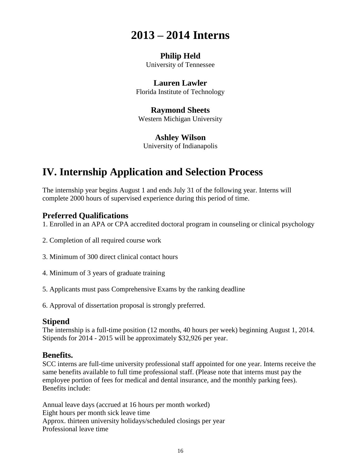## **2013 – 2014 Interns**

#### **Philip Held** University of Tennessee

## **Lauren Lawler**

Florida Institute of Technology

## **Raymond Sheets**

Western Michigan University

### **Ashley Wilson**

University of Indianapolis

## **IV. Internship Application and Selection Process**

The internship year begins August 1 and ends July 31 of the following year. Interns will complete 2000 hours of supervised experience during this period of time.

### **Preferred Qualifications**

1. Enrolled in an APA or CPA accredited doctoral program in counseling or clinical psychology

- 2. Completion of all required course work
- 3. Minimum of 300 direct clinical contact hours
- 4. Minimum of 3 years of graduate training
- 5. Applicants must pass Comprehensive Exams by the ranking deadline
- 6. Approval of dissertation proposal is strongly preferred.

#### **Stipend**

The internship is a full-time position (12 months, 40 hours per week) beginning August 1, 2014. Stipends for 2014 - 2015 will be approximately \$32,926 per year.

## **Benefits.**

SCC interns are full-time university professional staff appointed for one year. Interns receive the same benefits available to full time professional staff. (Please note that interns must pay the employee portion of fees for medical and dental insurance, and the monthly parking fees). Benefits include:

Annual leave days (accrued at 16 hours per month worked) Eight hours per month sick leave time Approx. thirteen university holidays/scheduled closings per year Professional leave time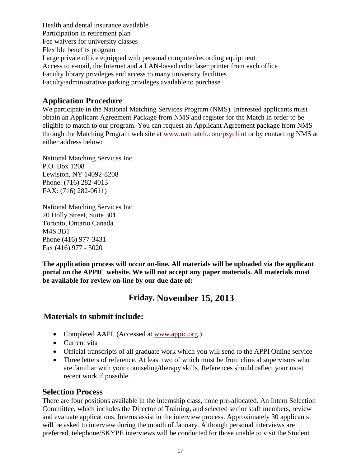Health and dental insurance available Participation in retirement plan Fee waivers for university classes Flexible benefits program Large private office equipped with personal computer/recording equipment Access to e-mail, the Internet and a LAN-based color laser printer from each office Faculty library privileges and access to many university facilities Faculty/administrative parking privileges available to purchase

## **Application Procedure**

We participate in the National Matching Services Program (NMS). Interested applicants must obtain an Applicant Agreement Package from NMS and register for the Match in order to be eligible to match to our program. You can request an Applicant Agreement package from NMS through the Matching Program web site at [www.natmatch.com/psychint](http://www.natmatch.com/psychint) or by contacting NMS at either address below:

National Matching Services Inc. P.O. Box 1208 Lewiston, NY 14092-8208 Phone: (716) 282-4013 FAX: (716) 282-0611)

National Matching Services Inc. 20 Holly Street, Suite 301 Toronto, Ontario Canada M4S 3B1 Phone (416) 977-3431 Fax (416) 977 - 5020

**The application process will occur on-line. All materials will be uploaded via the applicant portal on the APPIC website. We will not accept any paper materials. All materials must be available for review on-line by our due date of:**

## **Friday, November 15, 2013**

## **Materials to submit include:**

- Completed AAPI. (Accessed at [www.appic.org.](http://www.appic.org/)).
- Current vita
- Official transcripts of all graduate work which you will send to the APPI Online service
- Three letters of reference. At least two of which must be from clinical supervisors who are familiar with your counseling/therapy skills. References should reflect your most recent work if possible.

#### **Selection Process**

There are four positions available in the internship class, none pre-allocated. An Intern Selection Committee, which includes the Director of Training, and selected senior staff members, review and evaluate applications. Interns assist in the interview process. Approximately 30 applicants will be asked to interview during the month of January. Although personal interviews are preferred, telephone/SKYPE interviews will be conducted for those unable to visit the Student